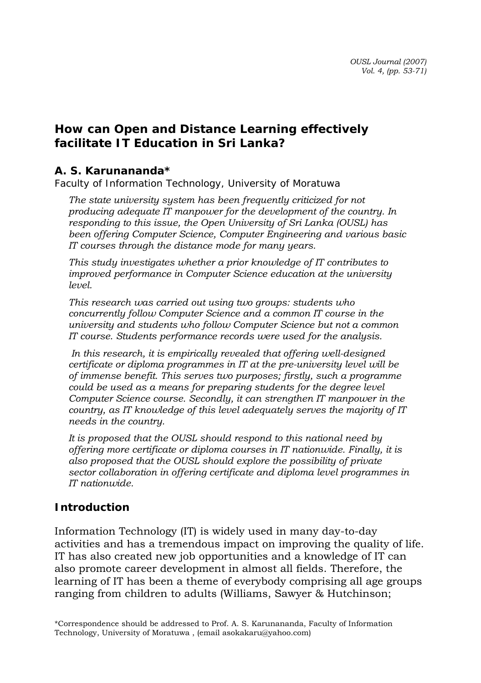# **How can Open and Distance Learning effectively facilitate IT Education in Sri Lanka?**

### *A. S. Karunananda\**

*Faculty of Information Technology, University of Moratuwa* 

*The state university system has been frequently criticized for not producing adequate IT manpower for the development of the country. In responding to this issue, the Open University of Sri Lanka (OUSL) has been offering Computer Science, Computer Engineering and various basic IT courses through the distance mode for many years.* 

*This study investigates whether a prior knowledge of IT contributes to improved performance in Computer Science education at the university level.* 

*This research was carried out using two groups: students who concurrently follow Computer Science and a common IT course in the university and students who follow Computer Science but not a common IT course. Students performance records were used for the analysis.* 

 *In this research, it is empirically revealed that offering well-designed certificate or diploma programmes in IT at the pre-university level will be of immense benefit. This serves two purposes; firstly, such a programme could be used as a means for preparing students for the degree level Computer Science course. Secondly, it can strengthen IT manpower in the country, as IT knowledge of this level adequately serves the majority of IT needs in the country.* 

*It is proposed that the OUSL should respond to this national need by offering more certificate or diploma courses in IT nationwide. Finally, it is also proposed that the OUSL should explore the possibility of private sector collaboration in offering certificate and diploma level programmes in IT nationwide.* 

## **Introduction**

Information Technology (IT) is widely used in many day-to-day activities and has a tremendous impact on improving the quality of life. IT has also created new job opportunities and a knowledge of IT can also promote career development in almost all fields. Therefore, the learning of IT has been a theme of everybody comprising all age groups ranging from children to adults (Williams, Sawyer & Hutchinson;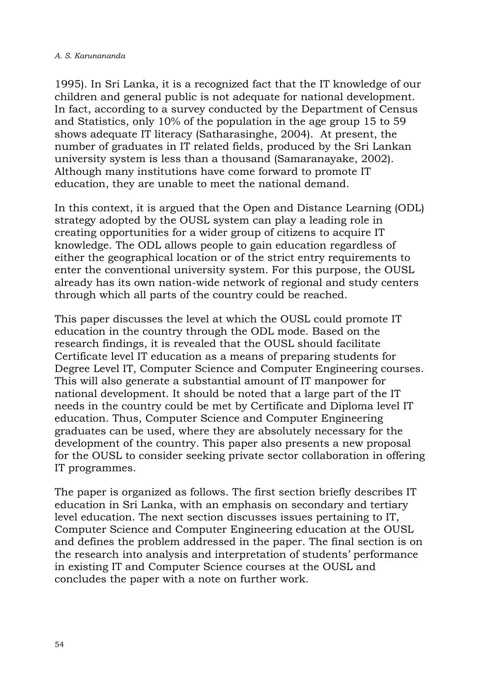1995). In Sri Lanka, it is a recognized fact that the IT knowledge of our children and general public is not adequate for national development. In fact, according to a survey conducted by the Department of Census and Statistics, only 10% of the population in the age group 15 to 59 shows adequate IT literacy (Satharasinghe, 2004). At present, the number of graduates in IT related fields, produced by the Sri Lankan university system is less than a thousand (Samaranayake, 2002). Although many institutions have come forward to promote IT education, they are unable to meet the national demand.

In this context, it is argued that the Open and Distance Learning (ODL) strategy adopted by the OUSL system can play a leading role in creating opportunities for a wider group of citizens to acquire IT knowledge. The ODL allows people to gain education regardless of either the geographical location or of the strict entry requirements to enter the conventional university system. For this purpose, the OUSL already has its own nation-wide network of regional and study centers through which all parts of the country could be reached.

This paper discusses the level at which the OUSL could promote IT education in the country through the ODL mode. Based on the research findings, it is revealed that the OUSL should facilitate Certificate level IT education as a means of preparing students for Degree Level IT, Computer Science and Computer Engineering courses. This will also generate a substantial amount of IT manpower for national development. It should be noted that a large part of the IT needs in the country could be met by Certificate and Diploma level IT education. Thus, Computer Science and Computer Engineering graduates can be used, where they are absolutely necessary for the development of the country. This paper also presents a new proposal for the OUSL to consider seeking private sector collaboration in offering IT programmes.

The paper is organized as follows. The first section briefly describes IT education in Sri Lanka, with an emphasis on secondary and tertiary level education. The next section discusses issues pertaining to IT, Computer Science and Computer Engineering education at the OUSL and defines the problem addressed in the paper. The final section is on the research into analysis and interpretation of students' performance in existing IT and Computer Science courses at the OUSL and concludes the paper with a note on further work.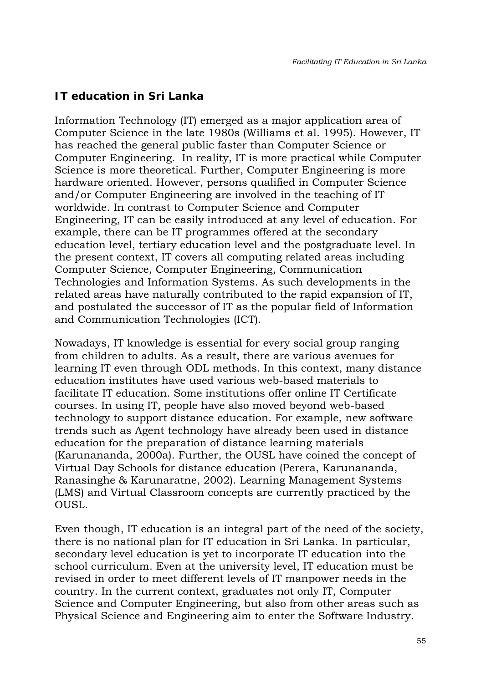### **IT education in Sri Lanka**

Information Technology (IT) emerged as a major application area of Computer Science in the late 1980s (Williams et al. 1995). However, IT has reached the general public faster than Computer Science or Computer Engineering. In reality, IT is more practical while Computer Science is more theoretical. Further, Computer Engineering is more hardware oriented. However, persons qualified in Computer Science and/or Computer Engineering are involved in the teaching of IT worldwide. In contrast to Computer Science and Computer Engineering, IT can be easily introduced at any level of education. For example, there can be IT programmes offered at the secondary education level, tertiary education level and the postgraduate level. In the present context, IT covers all computing related areas including Computer Science, Computer Engineering, Communication Technologies and Information Systems. As such developments in the related areas have naturally contributed to the rapid expansion of IT, and postulated the successor of IT as the popular field of Information and Communication Technologies (ICT).

Nowadays, IT knowledge is essential for every social group ranging from children to adults. As a result, there are various avenues for learning IT even through ODL methods. In this context, many distance education institutes have used various web-based materials to facilitate IT education. Some institutions offer online IT Certificate courses. In using IT, people have also moved beyond web-based technology to support distance education. For example, new software trends such as Agent technology have already been used in distance education for the preparation of distance learning materials (Karunananda, 2000a). Further, the OUSL have coined the concept of Virtual Day Schools for distance education (Perera, Karunananda, Ranasinghe & Karunaratne, 2002). Learning Management Systems (LMS) and Virtual Classroom concepts are currently practiced by the OUSL.

Even though, IT education is an integral part of the need of the society, there is no national plan for IT education in Sri Lanka. In particular, secondary level education is yet to incorporate IT education into the school curriculum. Even at the university level, IT education must be revised in order to meet different levels of IT manpower needs in the country. In the current context, graduates not only IT, Computer Science and Computer Engineering, but also from other areas such as Physical Science and Engineering aim to enter the Software Industry.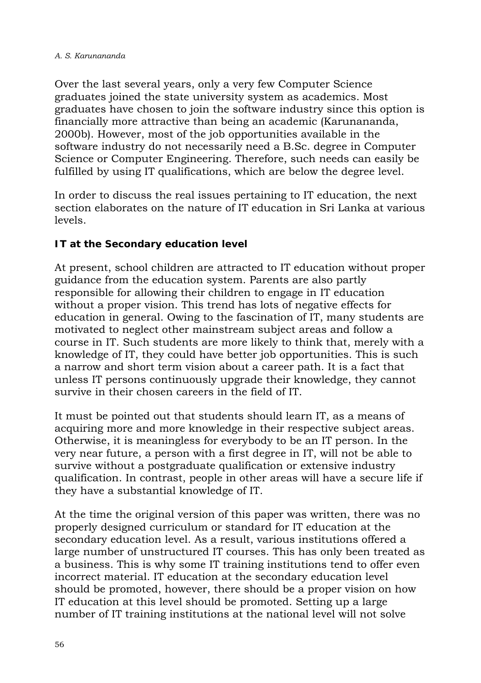#### *A. S. Karunananda*

Over the last several years, only a very few Computer Science graduates joined the state university system as academics. Most graduates have chosen to join the software industry since this option is financially more attractive than being an academic (Karunananda, 2000b). However, most of the job opportunities available in the software industry do not necessarily need a B.Sc. degree in Computer Science or Computer Engineering. Therefore, such needs can easily be fulfilled by using IT qualifications, which are below the degree level.

In order to discuss the real issues pertaining to IT education, the next section elaborates on the nature of IT education in Sri Lanka at various levels.

## **IT at the Secondary education level**

At present, school children are attracted to IT education without proper guidance from the education system. Parents are also partly responsible for allowing their children to engage in IT education without a proper vision. This trend has lots of negative effects for education in general. Owing to the fascination of IT, many students are motivated to neglect other mainstream subject areas and follow a course in IT. Such students are more likely to think that, merely with a knowledge of IT, they could have better job opportunities. This is such a narrow and short term vision about a career path. It is a fact that unless IT persons continuously upgrade their knowledge, they cannot survive in their chosen careers in the field of IT.

It must be pointed out that students should learn IT, as a means of acquiring more and more knowledge in their respective subject areas. Otherwise, it is meaningless for everybody to be an IT person. In the very near future, a person with a first degree in IT, will not be able to survive without a postgraduate qualification or extensive industry qualification. In contrast, people in other areas will have a secure life if they have a substantial knowledge of IT.

At the time the original version of this paper was written, there was no properly designed curriculum or standard for IT education at the secondary education level. As a result, various institutions offered a large number of unstructured IT courses. This has only been treated as a business. This is why some IT training institutions tend to offer even incorrect material. IT education at the secondary education level should be promoted, however, there should be a proper vision on how IT education at this level should be promoted. Setting up a large number of IT training institutions at the national level will not solve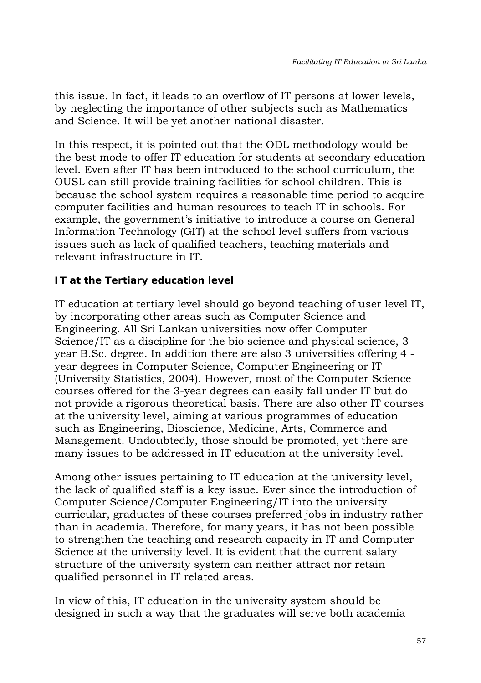this issue. In fact, it leads to an overflow of IT persons at lower levels, by neglecting the importance of other subjects such as Mathematics and Science. It will be yet another national disaster.

In this respect, it is pointed out that the ODL methodology would be the best mode to offer IT education for students at secondary education level. Even after IT has been introduced to the school curriculum, the OUSL can still provide training facilities for school children. This is because the school system requires a reasonable time period to acquire computer facilities and human resources to teach IT in schools. For example, the government's initiative to introduce a course on General Information Technology (GIT) at the school level suffers from various issues such as lack of qualified teachers, teaching materials and relevant infrastructure in IT.

# **IT at the Tertiary education level**

IT education at tertiary level should go beyond teaching of user level IT, by incorporating other areas such as Computer Science and Engineering. All Sri Lankan universities now offer Computer Science/IT as a discipline for the bio science and physical science, 3 year B.Sc. degree. In addition there are also 3 universities offering 4 year degrees in Computer Science, Computer Engineering or IT (University Statistics, 2004). However, most of the Computer Science courses offered for the 3-year degrees can easily fall under IT but do not provide a rigorous theoretical basis. There are also other IT courses at the university level, aiming at various programmes of education such as Engineering, Bioscience, Medicine, Arts, Commerce and Management. Undoubtedly, those should be promoted, yet there are many issues to be addressed in IT education at the university level.

Among other issues pertaining to IT education at the university level, the lack of qualified staff is a key issue. Ever since the introduction of Computer Science/Computer Engineering/IT into the university curricular, graduates of these courses preferred jobs in industry rather than in academia. Therefore, for many years, it has not been possible to strengthen the teaching and research capacity in IT and Computer Science at the university level. It is evident that the current salary structure of the university system can neither attract nor retain qualified personnel in IT related areas.

In view of this, IT education in the university system should be designed in such a way that the graduates will serve both academia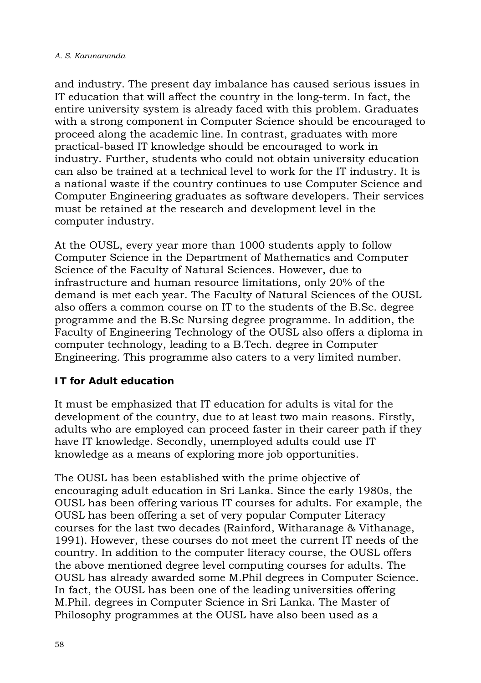and industry. The present day imbalance has caused serious issues in IT education that will affect the country in the long-term. In fact, the entire university system is already faced with this problem. Graduates with a strong component in Computer Science should be encouraged to proceed along the academic line. In contrast, graduates with more practical-based IT knowledge should be encouraged to work in industry. Further, students who could not obtain university education can also be trained at a technical level to work for the IT industry. It is a national waste if the country continues to use Computer Science and Computer Engineering graduates as software developers. Their services must be retained at the research and development level in the computer industry.

At the OUSL, every year more than 1000 students apply to follow Computer Science in the Department of Mathematics and Computer Science of the Faculty of Natural Sciences. However, due to infrastructure and human resource limitations, only 20% of the demand is met each year. The Faculty of Natural Sciences of the OUSL also offers a common course on IT to the students of the B.Sc. degree programme and the B.Sc Nursing degree programme. In addition, the Faculty of Engineering Technology of the OUSL also offers a diploma in computer technology, leading to a B.Tech. degree in Computer Engineering. This programme also caters to a very limited number.

## **IT for Adult education**

It must be emphasized that IT education for adults is vital for the development of the country, due to at least two main reasons. Firstly, adults who are employed can proceed faster in their career path if they have IT knowledge. Secondly, unemployed adults could use IT knowledge as a means of exploring more job opportunities.

The OUSL has been established with the prime objective of encouraging adult education in Sri Lanka. Since the early 1980s, the OUSL has been offering various IT courses for adults. For example, the OUSL has been offering a set of very popular Computer Literacy courses for the last two decades (Rainford, Witharanage & Vithanage, 1991). However, these courses do not meet the current IT needs of the country. In addition to the computer literacy course, the OUSL offers the above mentioned degree level computing courses for adults. The OUSL has already awarded some M.Phil degrees in Computer Science. In fact, the OUSL has been one of the leading universities offering M.Phil. degrees in Computer Science in Sri Lanka. The Master of Philosophy programmes at the OUSL have also been used as a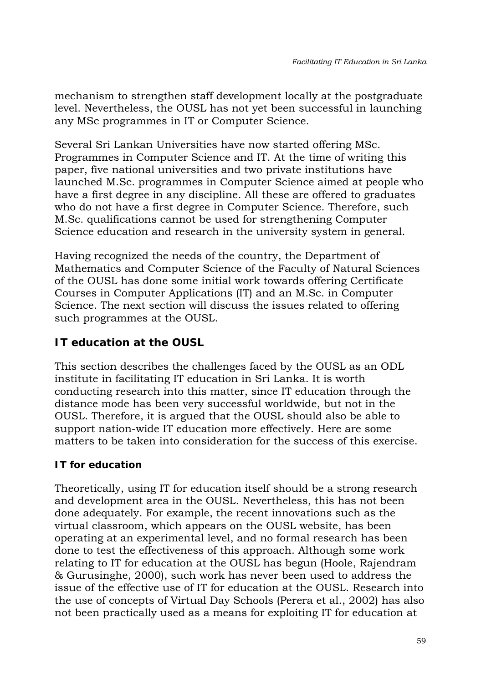mechanism to strengthen staff development locally at the postgraduate level. Nevertheless, the OUSL has not yet been successful in launching any MSc programmes in IT or Computer Science.

Several Sri Lankan Universities have now started offering MSc. Programmes in Computer Science and IT. At the time of writing this paper, five national universities and two private institutions have launched M.Sc. programmes in Computer Science aimed at people who have a first degree in any discipline. All these are offered to graduates who do not have a first degree in Computer Science. Therefore, such M.Sc. qualifications cannot be used for strengthening Computer Science education and research in the university system in general.

Having recognized the needs of the country, the Department of Mathematics and Computer Science of the Faculty of Natural Sciences of the OUSL has done some initial work towards offering Certificate Courses in Computer Applications (IT) and an M.Sc. in Computer Science. The next section will discuss the issues related to offering such programmes at the OUSL.

# **IT education at the OUSL**

This section describes the challenges faced by the OUSL as an ODL institute in facilitating IT education in Sri Lanka. It is worth conducting research into this matter, since IT education through the distance mode has been very successful worldwide, but not in the OUSL. Therefore, it is argued that the OUSL should also be able to support nation-wide IT education more effectively. Here are some matters to be taken into consideration for the success of this exercise.

# **IT for education**

Theoretically, using IT for education itself should be a strong research and development area in the OUSL. Nevertheless, this has not been done adequately. For example, the recent innovations such as the virtual classroom, which appears on the OUSL website, has been operating at an experimental level, and no formal research has been done to test the effectiveness of this approach. Although some work relating to IT for education at the OUSL has begun (Hoole, Rajendram & Gurusinghe, 2000), such work has never been used to address the issue of the effective use of IT for education at the OUSL. Research into the use of concepts of Virtual Day Schools (Perera et al., 2002) has also not been practically used as a means for exploiting IT for education at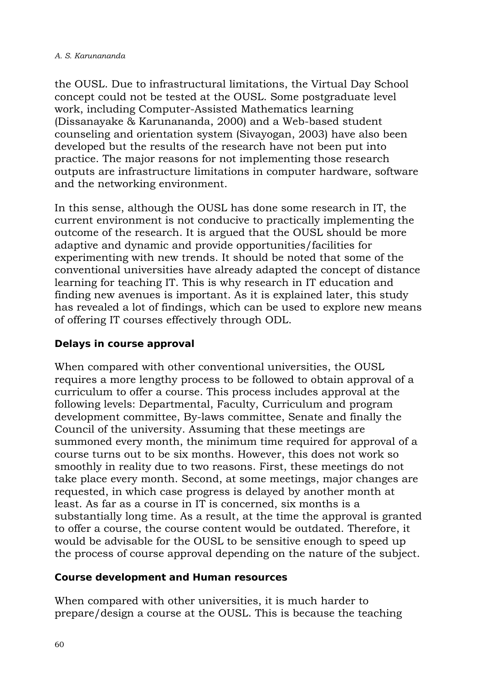the OUSL. Due to infrastructural limitations, the Virtual Day School concept could not be tested at the OUSL. Some postgraduate level work, including Computer-Assisted Mathematics learning (Dissanayake & Karunananda, 2000) and a Web-based student counseling and orientation system (Sivayogan, 2003) have also been developed but the results of the research have not been put into practice. The major reasons for not implementing those research outputs are infrastructure limitations in computer hardware, software and the networking environment.

In this sense, although the OUSL has done some research in IT, the current environment is not conducive to practically implementing the outcome of the research. It is argued that the OUSL should be more adaptive and dynamic and provide opportunities/facilities for experimenting with new trends. It should be noted that some of the conventional universities have already adapted the concept of distance learning for teaching IT. This is why research in IT education and finding new avenues is important. As it is explained later, this study has revealed a lot of findings, which can be used to explore new means of offering IT courses effectively through ODL.

## **Delays in course approval**

When compared with other conventional universities, the OUSL requires a more lengthy process to be followed to obtain approval of a curriculum to offer a course. This process includes approval at the following levels: Departmental, Faculty, Curriculum and program development committee, By-laws committee, Senate and finally the Council of the university. Assuming that these meetings are summoned every month, the minimum time required for approval of a course turns out to be six months. However, this does not work so smoothly in reality due to two reasons. First, these meetings do not take place every month. Second, at some meetings, major changes are requested, in which case progress is delayed by another month at least. As far as a course in IT is concerned, six months is a substantially long time. As a result, at the time the approval is granted to offer a course, the course content would be outdated. Therefore, it would be advisable for the OUSL to be sensitive enough to speed up the process of course approval depending on the nature of the subject.

### **Course development and Human resources**

When compared with other universities, it is much harder to prepare/design a course at the OUSL. This is because the teaching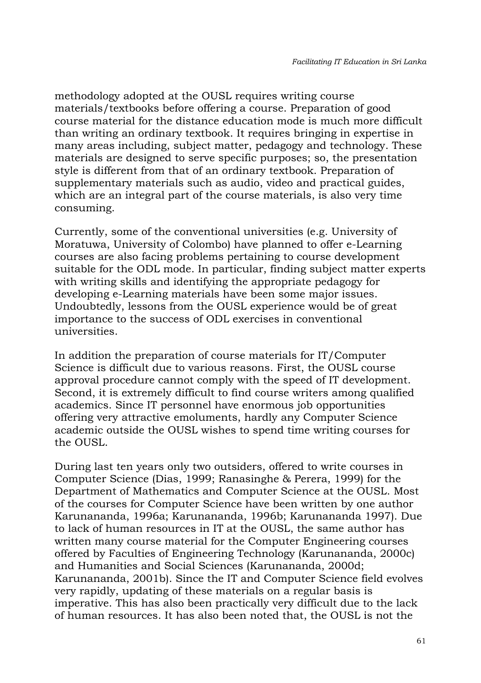methodology adopted at the OUSL requires writing course materials/textbooks before offering a course. Preparation of good course material for the distance education mode is much more difficult than writing an ordinary textbook. It requires bringing in expertise in many areas including, subject matter, pedagogy and technology. These materials are designed to serve specific purposes; so, the presentation style is different from that of an ordinary textbook. Preparation of supplementary materials such as audio, video and practical guides, which are an integral part of the course materials, is also very time consuming.

Currently, some of the conventional universities (e.g. University of Moratuwa, University of Colombo) have planned to offer e-Learning courses are also facing problems pertaining to course development suitable for the ODL mode. In particular, finding subject matter experts with writing skills and identifying the appropriate pedagogy for developing e-Learning materials have been some major issues. Undoubtedly, lessons from the OUSL experience would be of great importance to the success of ODL exercises in conventional universities.

In addition the preparation of course materials for IT/Computer Science is difficult due to various reasons. First, the OUSL course approval procedure cannot comply with the speed of IT development. Second, it is extremely difficult to find course writers among qualified academics. Since IT personnel have enormous job opportunities offering very attractive emoluments, hardly any Computer Science academic outside the OUSL wishes to spend time writing courses for the OUSL.

During last ten years only two outsiders, offered to write courses in Computer Science (Dias, 1999; Ranasinghe & Perera, 1999) for the Department of Mathematics and Computer Science at the OUSL. Most of the courses for Computer Science have been written by one author Karunananda, 1996a; Karunananda, 1996b; Karunananda 1997). Due to lack of human resources in IT at the OUSL, the same author has written many course material for the Computer Engineering courses offered by Faculties of Engineering Technology (Karunananda, 2000c) and Humanities and Social Sciences (Karunananda, 2000d; Karunananda, 2001b). Since the IT and Computer Science field evolves very rapidly, updating of these materials on a regular basis is imperative. This has also been practically very difficult due to the lack of human resources. It has also been noted that, the OUSL is not the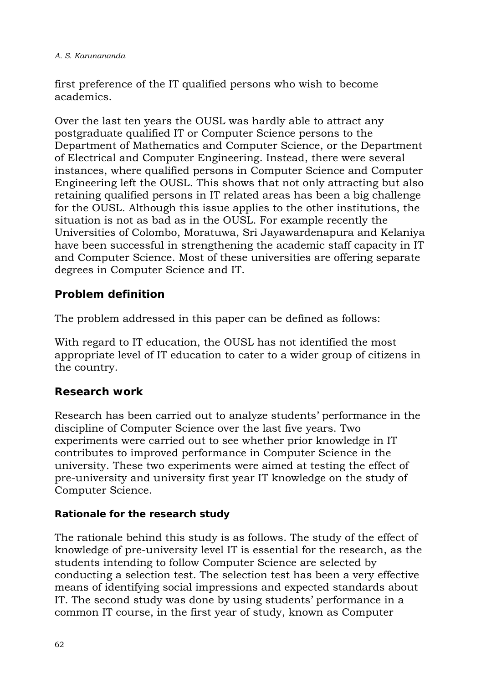#### *A. S. Karunananda*

first preference of the IT qualified persons who wish to become academics.

Over the last ten years the OUSL was hardly able to attract any postgraduate qualified IT or Computer Science persons to the Department of Mathematics and Computer Science, or the Department of Electrical and Computer Engineering. Instead, there were several instances, where qualified persons in Computer Science and Computer Engineering left the OUSL. This shows that not only attracting but also retaining qualified persons in IT related areas has been a big challenge for the OUSL. Although this issue applies to the other institutions, the situation is not as bad as in the OUSL. For example recently the Universities of Colombo, Moratuwa, Sri Jayawardenapura and Kelaniya have been successful in strengthening the academic staff capacity in IT and Computer Science. Most of these universities are offering separate degrees in Computer Science and IT.

# **Problem definition**

The problem addressed in this paper can be defined as follows:

With regard to IT education, the OUSL has not identified the most appropriate level of IT education to cater to a wider group of citizens in the country.

# **Research work**

Research has been carried out to analyze students' performance in the discipline of Computer Science over the last five years. Two experiments were carried out to see whether prior knowledge in IT contributes to improved performance in Computer Science in the university. These two experiments were aimed at testing the effect of pre-university and university first year IT knowledge on the study of Computer Science.

## **Rationale for the research study**

The rationale behind this study is as follows. The study of the effect of knowledge of pre-university level IT is essential for the research, as the students intending to follow Computer Science are selected by conducting a selection test. The selection test has been a very effective means of identifying social impressions and expected standards about IT. The second study was done by using students' performance in a common IT course, in the first year of study, known as Computer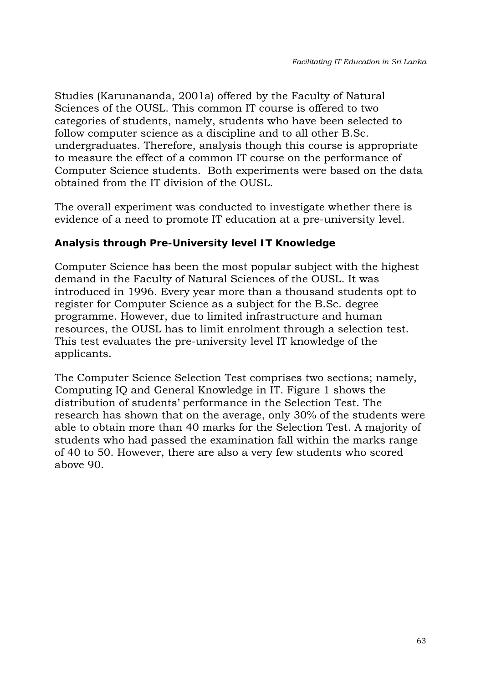Studies (Karunananda, 2001a) offered by the Faculty of Natural Sciences of the OUSL. This common IT course is offered to two categories of students, namely, students who have been selected to follow computer science as a discipline and to all other B.Sc. undergraduates. Therefore, analysis though this course is appropriate to measure the effect of a common IT course on the performance of Computer Science students. Both experiments were based on the data obtained from the IT division of the OUSL.

The overall experiment was conducted to investigate whether there is evidence of a need to promote IT education at a pre-university level.

### **Analysis through Pre-University level IT Knowledge**

Computer Science has been the most popular subject with the highest demand in the Faculty of Natural Sciences of the OUSL. It was introduced in 1996. Every year more than a thousand students opt to register for Computer Science as a subject for the B.Sc. degree programme. However, due to limited infrastructure and human resources, the OUSL has to limit enrolment through a selection test. This test evaluates the pre-university level IT knowledge of the applicants.

The Computer Science Selection Test comprises two sections; namely, Computing IQ and General Knowledge in IT. Figure 1 shows the distribution of students' performance in the Selection Test. The research has shown that on the average, only 30% of the students were able to obtain more than 40 marks for the Selection Test. A majority of students who had passed the examination fall within the marks range of 40 to 50. However, there are also a very few students who scored above 90.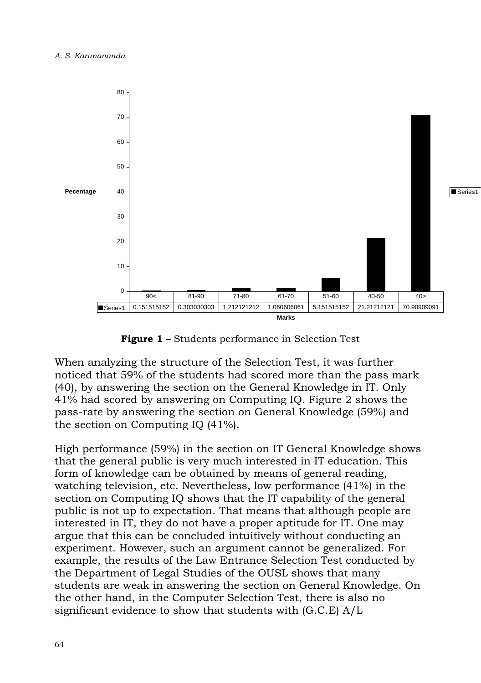

**Figure 1** – Students performance in Selection Test

When analyzing the structure of the Selection Test, it was further noticed that 59% of the students had scored more than the pass mark (40), by answering the section on the General Knowledge in IT. Only 41% had scored by answering on Computing IQ. Figure 2 shows the pass-rate by answering the section on General Knowledge (59%) and the section on Computing IQ (41%).

High performance (59%) in the section on IT General Knowledge shows that the general public is very much interested in IT education. This form of knowledge can be obtained by means of general reading, watching television, etc. Nevertheless, low performance (41%) in the section on Computing IQ shows that the IT capability of the general public is not up to expectation. That means that although people are interested in IT, they do not have a proper aptitude for IT. One may argue that this can be concluded intuitively without conducting an experiment. However, such an argument cannot be generalized. For example, the results of the Law Entrance Selection Test conducted by the Department of Legal Studies of the OUSL shows that many students are weak in answering the section on General Knowledge. On the other hand, in the Computer Selection Test, there is also no significant evidence to show that students with (G.C.E) A/L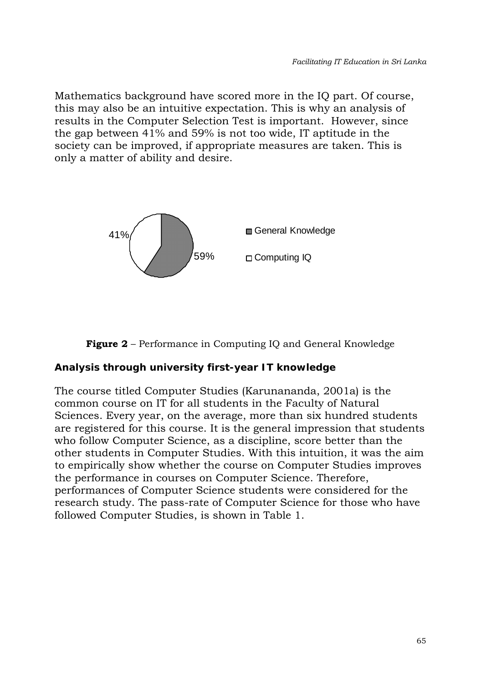Mathematics background have scored more in the IQ part. Of course, this may also be an intuitive expectation. This is why an analysis of results in the Computer Selection Test is important. However, since the gap between 41% and 59% is not too wide, IT aptitude in the society can be improved, if appropriate measures are taken. This is only a matter of ability and desire.



### **Figure 2** – Performance in Computing IQ and General Knowledge

#### **Analysis through university first-year IT knowledge**

The course titled Computer Studies (Karunananda, 2001a) is the common course on IT for all students in the Faculty of Natural Sciences. Every year, on the average, more than six hundred students are registered for this course. It is the general impression that students who follow Computer Science, as a discipline, score better than the other students in Computer Studies. With this intuition, it was the aim to empirically show whether the course on Computer Studies improves the performance in courses on Computer Science. Therefore, performances of Computer Science students were considered for the research study. The pass-rate of Computer Science for those who have followed Computer Studies, is shown in Table 1.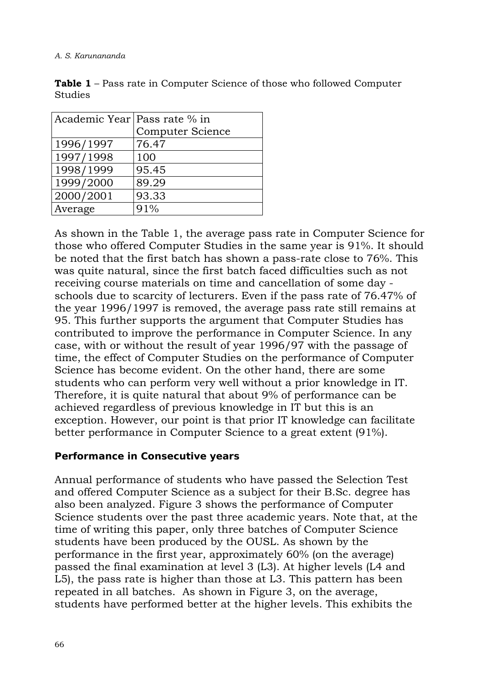| Academic Year Pass rate % in |                         |
|------------------------------|-------------------------|
|                              | <b>Computer Science</b> |
| 1996/1997                    | 76.47                   |
| 1997/1998                    | 100                     |
| 1998/1999                    | 95.45                   |
| 1999/2000                    | 89.29                   |
| 2000/2001                    | 93.33                   |
| Average                      | 91%                     |

**Table 1** – Pass rate in Computer Science of those who followed Computer Studies

As shown in the Table 1, the average pass rate in Computer Science for those who offered Computer Studies in the same year is 91%. It should be noted that the first batch has shown a pass-rate close to 76%. This was quite natural, since the first batch faced difficulties such as not receiving course materials on time and cancellation of some day schools due to scarcity of lecturers. Even if the pass rate of 76.47% of the year 1996/1997 is removed, the average pass rate still remains at 95. This further supports the argument that Computer Studies has contributed to improve the performance in Computer Science. In any case, with or without the result of year 1996/97 with the passage of time, the effect of Computer Studies on the performance of Computer Science has become evident. On the other hand, there are some students who can perform very well without a prior knowledge in IT. Therefore, it is quite natural that about 9% of performance can be achieved regardless of previous knowledge in IT but this is an exception. However, our point is that prior IT knowledge can facilitate better performance in Computer Science to a great extent (91%).

### **Performance in Consecutive years**

Annual performance of students who have passed the Selection Test and offered Computer Science as a subject for their B.Sc. degree has also been analyzed. Figure 3 shows the performance of Computer Science students over the past three academic years. Note that, at the time of writing this paper, only three batches of Computer Science students have been produced by the OUSL. As shown by the performance in the first year, approximately 60% (on the average) passed the final examination at level 3 (L3). At higher levels (L4 and L5), the pass rate is higher than those at L3. This pattern has been repeated in all batches. As shown in Figure 3, on the average, students have performed better at the higher levels. This exhibits the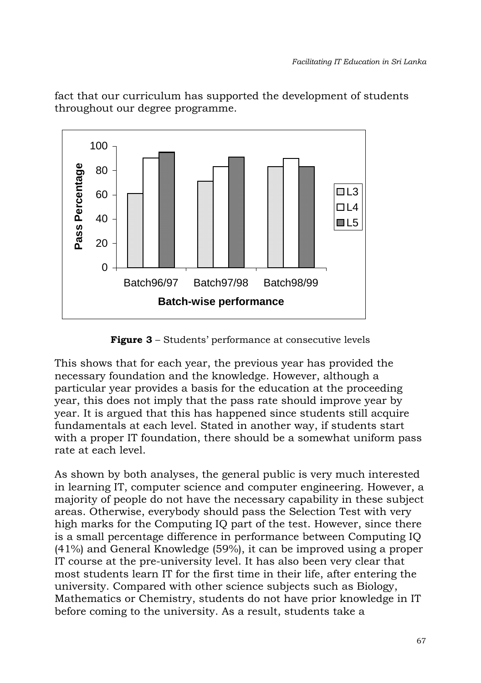fact that our curriculum has supported the development of students throughout our degree programme.



**Figure 3** – Students' performance at consecutive levels

This shows that for each year, the previous year has provided the necessary foundation and the knowledge. However, although a particular year provides a basis for the education at the proceeding year, this does not imply that the pass rate should improve year by year. It is argued that this has happened since students still acquire fundamentals at each level. Stated in another way, if students start with a proper IT foundation, there should be a somewhat uniform pass rate at each level.

As shown by both analyses, the general public is very much interested in learning IT, computer science and computer engineering. However, a majority of people do not have the necessary capability in these subject areas. Otherwise, everybody should pass the Selection Test with very high marks for the Computing IQ part of the test. However, since there is a small percentage difference in performance between Computing IQ (41%) and General Knowledge (59%), it can be improved using a proper IT course at the pre-university level. It has also been very clear that most students learn IT for the first time in their life, after entering the university. Compared with other science subjects such as Biology, Mathematics or Chemistry, students do not have prior knowledge in IT before coming to the university. As a result, students take a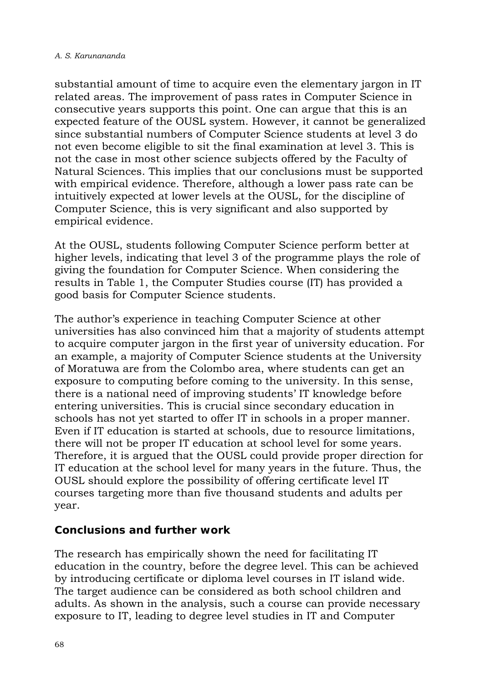substantial amount of time to acquire even the elementary jargon in IT related areas. The improvement of pass rates in Computer Science in consecutive years supports this point. One can argue that this is an expected feature of the OUSL system. However, it cannot be generalized since substantial numbers of Computer Science students at level 3 do not even become eligible to sit the final examination at level 3. This is not the case in most other science subjects offered by the Faculty of Natural Sciences. This implies that our conclusions must be supported with empirical evidence. Therefore, although a lower pass rate can be intuitively expected at lower levels at the OUSL, for the discipline of Computer Science, this is very significant and also supported by empirical evidence.

At the OUSL, students following Computer Science perform better at higher levels, indicating that level 3 of the programme plays the role of giving the foundation for Computer Science. When considering the results in Table 1, the Computer Studies course (IT) has provided a good basis for Computer Science students.

The author's experience in teaching Computer Science at other universities has also convinced him that a majority of students attempt to acquire computer jargon in the first year of university education. For an example, a majority of Computer Science students at the University of Moratuwa are from the Colombo area, where students can get an exposure to computing before coming to the university. In this sense, there is a national need of improving students' IT knowledge before entering universities. This is crucial since secondary education in schools has not yet started to offer IT in schools in a proper manner. Even if IT education is started at schools, due to resource limitations, there will not be proper IT education at school level for some years. Therefore, it is argued that the OUSL could provide proper direction for IT education at the school level for many years in the future. Thus, the OUSL should explore the possibility of offering certificate level IT courses targeting more than five thousand students and adults per year.

## **Conclusions and further work**

The research has empirically shown the need for facilitating IT education in the country, before the degree level. This can be achieved by introducing certificate or diploma level courses in IT island wide. The target audience can be considered as both school children and adults. As shown in the analysis, such a course can provide necessary exposure to IT, leading to degree level studies in IT and Computer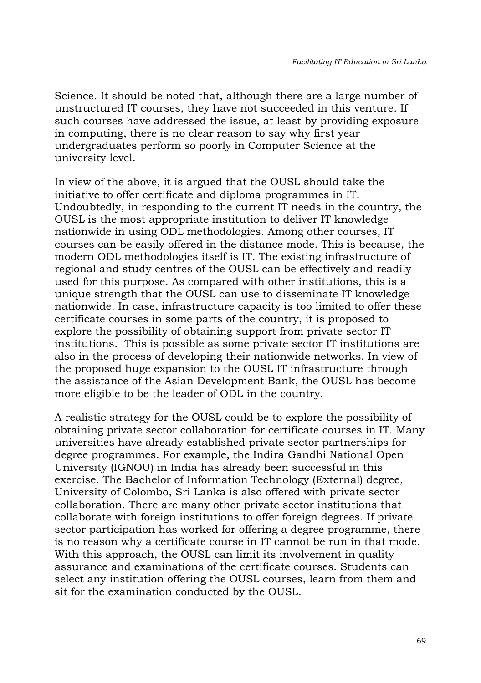Science. It should be noted that, although there are a large number of unstructured IT courses, they have not succeeded in this venture. If such courses have addressed the issue, at least by providing exposure in computing, there is no clear reason to say why first year undergraduates perform so poorly in Computer Science at the university level.

In view of the above, it is argued that the OUSL should take the initiative to offer certificate and diploma programmes in IT. Undoubtedly, in responding to the current IT needs in the country, the OUSL is the most appropriate institution to deliver IT knowledge nationwide in using ODL methodologies. Among other courses, IT courses can be easily offered in the distance mode. This is because, the modern ODL methodologies itself is IT. The existing infrastructure of regional and study centres of the OUSL can be effectively and readily used for this purpose. As compared with other institutions, this is a unique strength that the OUSL can use to disseminate IT knowledge nationwide. In case, infrastructure capacity is too limited to offer these certificate courses in some parts of the country, it is proposed to explore the possibility of obtaining support from private sector IT institutions. This is possible as some private sector IT institutions are also in the process of developing their nationwide networks. In view of the proposed huge expansion to the OUSL IT infrastructure through the assistance of the Asian Development Bank, the OUSL has become more eligible to be the leader of ODL in the country.

A realistic strategy for the OUSL could be to explore the possibility of obtaining private sector collaboration for certificate courses in IT. Many universities have already established private sector partnerships for degree programmes. For example, the Indira Gandhi National Open University (IGNOU) in India has already been successful in this exercise. The Bachelor of Information Technology (External) degree, University of Colombo, Sri Lanka is also offered with private sector collaboration. There are many other private sector institutions that collaborate with foreign institutions to offer foreign degrees. If private sector participation has worked for offering a degree programme, there is no reason why a certificate course in IT cannot be run in that mode. With this approach, the OUSL can limit its involvement in quality assurance and examinations of the certificate courses. Students can select any institution offering the OUSL courses, learn from them and sit for the examination conducted by the OUSL.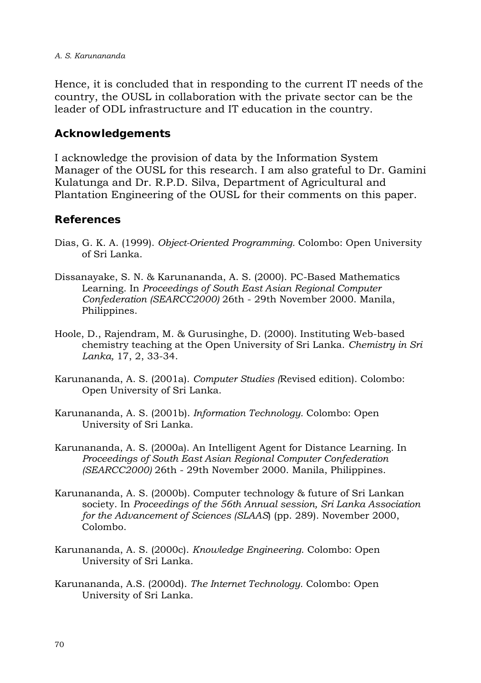Hence, it is concluded that in responding to the current IT needs of the country, the OUSL in collaboration with the private sector can be the leader of ODL infrastructure and IT education in the country.

### **Acknowledgements**

I acknowledge the provision of data by the Information System Manager of the OUSL for this research. I am also grateful to Dr. Gamini Kulatunga and Dr. R.P.D. Silva, Department of Agricultural and Plantation Engineering of the OUSL for their comments on this paper.

### **References**

- Dias, G. K. A. (1999). *Object-Oriented Programming.* Colombo: Open University of Sri Lanka.
- Dissanayake, S. N. & Karunananda, A. S. (2000). PC-Based Mathematics Learning. In *Proceedings of South East Asian Regional Computer Confederation (SEARCC2000)* 26th - 29th November 2000. Manila, Philippines.
- Hoole, D., Rajendram, M. & Gurusinghe, D. (2000). Instituting Web-based chemistry teaching at the Open University of Sri Lanka. *Chemistry in Sri Lanka,* 17, 2, 33-34.
- Karunananda, A. S. (2001a). *Computer Studies (*Revised edition). Colombo: Open University of Sri Lanka.
- Karunananda, A. S. (2001b). *Information Technology.* Colombo: Open University of Sri Lanka.
- Karunananda, A. S. (2000a). An Intelligent Agent for Distance Learning. In *Proceedings of South East Asian Regional Computer Confederation (SEARCC2000)* 26th - 29th November 2000. Manila, Philippines.
- Karunananda, A. S. (2000b). Computer technology & future of Sri Lankan society. In *Proceedings of the 56th Annual session, Sri Lanka Association for the Advancement of Sciences (SLAAS*) (pp. 289). November 2000, Colombo.
- Karunananda, A. S. (2000c). *Knowledge Engineering*. Colombo: Open University of Sri Lanka.
- Karunananda, A.S. (2000d). *The Internet Technology.* Colombo: Open University of Sri Lanka.